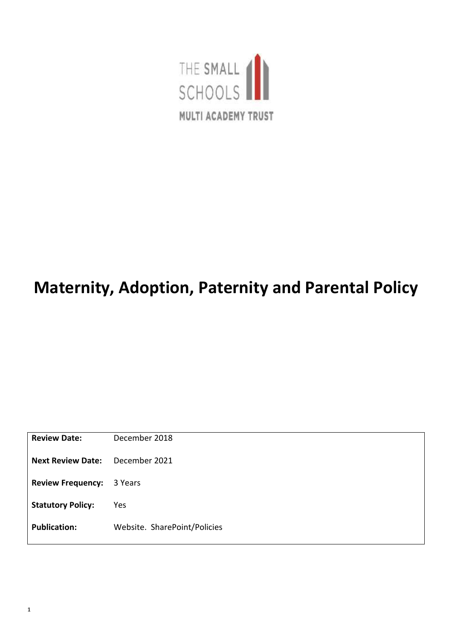

# **Maternity, Adoption, Paternity and Parental Policy**

| <b>Review Date:</b>      | December 2018                |
|--------------------------|------------------------------|
| <b>Next Review Date:</b> | December 2021                |
| <b>Review Frequency:</b> | 3 Years                      |
| <b>Statutory Policy:</b> | Yes                          |
| <b>Publication:</b>      | Website. SharePoint/Policies |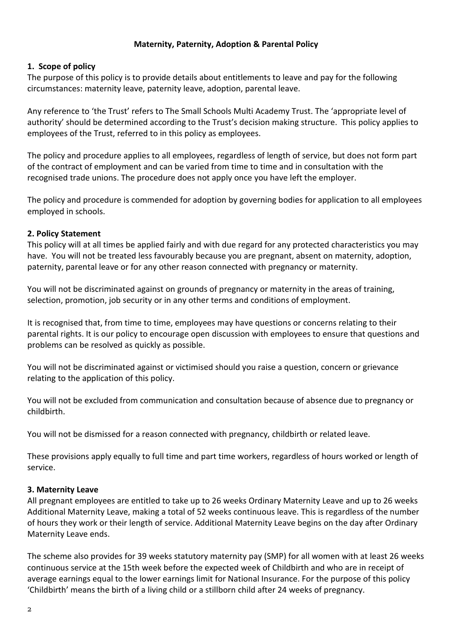#### **Maternity, Paternity, Adoption & Parental Policy**

#### **1. Scope of policy**

The purpose of this policy is to provide details about entitlements to leave and pay for the following circumstances: maternity leave, paternity leave, adoption, parental leave.

Any reference to 'the Trust' refers to The Small Schools Multi Academy Trust. The 'appropriate level of authority' should be determined according to the Trust's decision making structure. This policy applies to employees of the Trust, referred to in this policy as employees.

The policy and procedure applies to all employees, regardless of length of service, but does not form part of the contract of employment and can be varied from time to time and in consultation with the recognised trade unions. The procedure does not apply once you have left the employer.

The policy and procedure is commended for adoption by governing bodies for application to all employees employed in schools.

#### **2. Policy Statement**

This policy will at all times be applied fairly and with due regard for any protected characteristics you may have. You will not be treated less favourably because you are pregnant, absent on maternity, adoption, paternity, parental leave or for any other reason connected with pregnancy or maternity.

You will not be discriminated against on grounds of pregnancy or maternity in the areas of training, selection, promotion, job security or in any other terms and conditions of employment.

It is recognised that, from time to time, employees may have questions or concerns relating to their parental rights. It is our policy to encourage open discussion with employees to ensure that questions and problems can be resolved as quickly as possible.

You will not be discriminated against or victimised should you raise a question, concern or grievance relating to the application of this policy.

You will not be excluded from communication and consultation because of absence due to pregnancy or childbirth.

You will not be dismissed for a reason connected with pregnancy, childbirth or related leave.

These provisions apply equally to full time and part time workers, regardless of hours worked or length of service.

## **3. Maternity Leave**

All pregnant employees are entitled to take up to 26 weeks Ordinary Maternity Leave and up to 26 weeks Additional Maternity Leave, making a total of 52 weeks continuous leave. This is regardless of the number of hours they work or their length of service. Additional Maternity Leave begins on the day after Ordinary Maternity Leave ends.

The scheme also provides for 39 weeks statutory maternity pay (SMP) for all women with at least 26 weeks continuous service at the 15th week before the expected week of Childbirth and who are in receipt of average earnings equal to the lower earnings limit for National Insurance. For the purpose of this policy 'Childbirth' means the birth of a living child or a stillborn child after 24 weeks of pregnancy.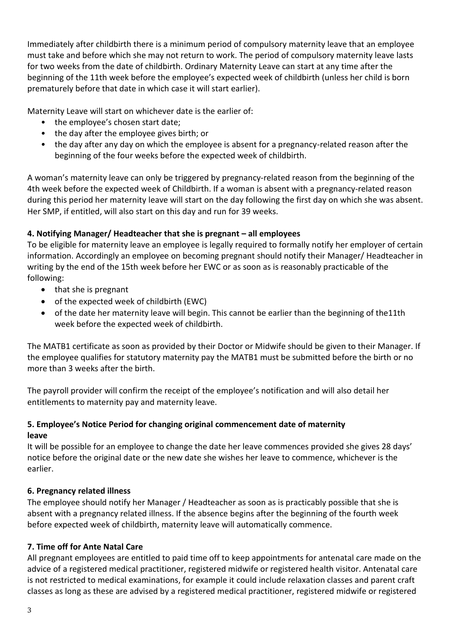Immediately after childbirth there is a minimum period of compulsory maternity leave that an employee must take and before which she may not return to work. The period of compulsory maternity leave lasts for two weeks from the date of childbirth. Ordinary Maternity Leave can start at any time after the beginning of the 11th week before the employee's expected week of childbirth (unless her child is born prematurely before that date in which case it will start earlier).

Maternity Leave will start on whichever date is the earlier of:

- the employee's chosen start date;
- the day after the employee gives birth; or
- the day after any day on which the employee is absent for a pregnancy-related reason after the beginning of the four weeks before the expected week of childbirth.

A woman's maternity leave can only be triggered by pregnancy-related reason from the beginning of the 4th week before the expected week of Childbirth. If a woman is absent with a pregnancy-related reason during this period her maternity leave will start on the day following the first day on which she was absent. Her SMP, if entitled, will also start on this day and run for 39 weeks.

# **4. Notifying Manager/ Headteacher that she is pregnant – all employees**

To be eligible for maternity leave an employee is legally required to formally notify her employer of certain information. Accordingly an employee on becoming pregnant should notify their Manager/ Headteacher in writing by the end of the 15th week before her EWC or as soon as is reasonably practicable of the following:

- that she is pregnant
- of the expected week of childbirth (EWC)
- of the date her maternity leave will begin. This cannot be earlier than the beginning of the11th week before the expected week of childbirth.

The MATB1 certificate as soon as provided by their Doctor or Midwife should be given to their Manager. If the employee qualifies for statutory maternity pay the MATB1 must be submitted before the birth or no more than 3 weeks after the birth.

The payroll provider will confirm the receipt of the employee's notification and will also detail her entitlements to maternity pay and maternity leave.

# **5. Employee's Notice Period for changing original commencement date of maternity leave**

It will be possible for an employee to change the date her leave commences provided she gives 28 days' notice before the original date or the new date she wishes her leave to commence, whichever is the earlier.

## **6. Pregnancy related illness**

The employee should notify her Manager / Headteacher as soon as is practicably possible that she is absent with a pregnancy related illness. If the absence begins after the beginning of the fourth week before expected week of childbirth, maternity leave will automatically commence.

# **7. Time off for Ante Natal Care**

All pregnant employees are entitled to paid time off to keep appointments for antenatal care made on the advice of a registered medical practitioner, registered midwife or registered health visitor. Antenatal care is not restricted to medical examinations, for example it could include relaxation classes and parent craft classes as long as these are advised by a registered medical practitioner, registered midwife or registered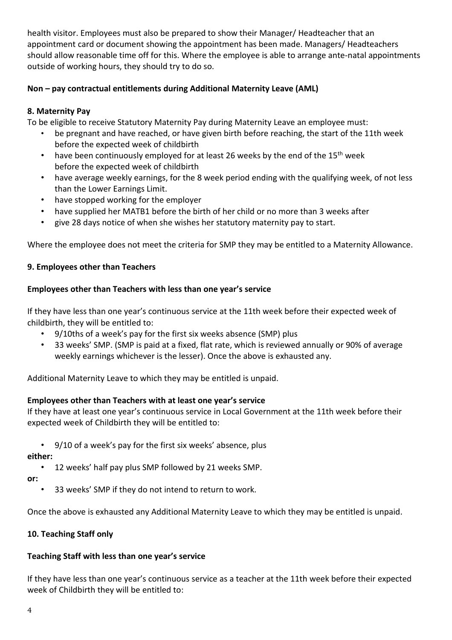health visitor. Employees must also be prepared to show their Manager/ Headteacher that an appointment card or document showing the appointment has been made. Managers/ Headteachers should allow reasonable time off for this. Where the employee is able to arrange ante-natal appointments outside of working hours, they should try to do so.

# **Non – pay contractual entitlements during Additional Maternity Leave (AML)**

# **8. Maternity Pay**

To be eligible to receive Statutory Maternity Pay during Maternity Leave an employee must:

- be pregnant and have reached, or have given birth before reaching, the start of the 11th week before the expected week of childbirth
- have been continuously employed for at least 26 weeks by the end of the  $15<sup>th</sup>$  week before the expected week of childbirth
- have average weekly earnings, for the 8 week period ending with the qualifying week, of not less than the Lower Earnings Limit.
- have stopped working for the employer
- have supplied her MATB1 before the birth of her child or no more than 3 weeks after
- give 28 days notice of when she wishes her statutory maternity pay to start.

Where the employee does not meet the criteria for SMP they may be entitled to a Maternity Allowance.

#### **9. Employees other than Teachers**

#### **Employees other than Teachers with less than one year's service**

If they have less than one year's continuous service at the 11th week before their expected week of childbirth, they will be entitled to:

- 9/10ths of a week's pay for the first six weeks absence (SMP) plus
- 33 weeks' SMP. (SMP is paid at a fixed, flat rate, which is reviewed annually or 90% of average weekly earnings whichever is the lesser). Once the above is exhausted any.

Additional Maternity Leave to which they may be entitled is unpaid.

## **Employees other than Teachers with at least one year's service**

If they have at least one year's continuous service in Local Government at the 11th week before their expected week of Childbirth they will be entitled to:

• 9/10 of a week's pay for the first six weeks' absence, plus

**either:**

• 12 weeks' half pay plus SMP followed by 21 weeks SMP.

**or:**

33 weeks' SMP if they do not intend to return to work.

Once the above is exhausted any Additional Maternity Leave to which they may be entitled is unpaid.

#### **10. Teaching Staff only**

## **Teaching Staff with less than one year's service**

If they have less than one year's continuous service as a teacher at the 11th week before their expected week of Childbirth they will be entitled to: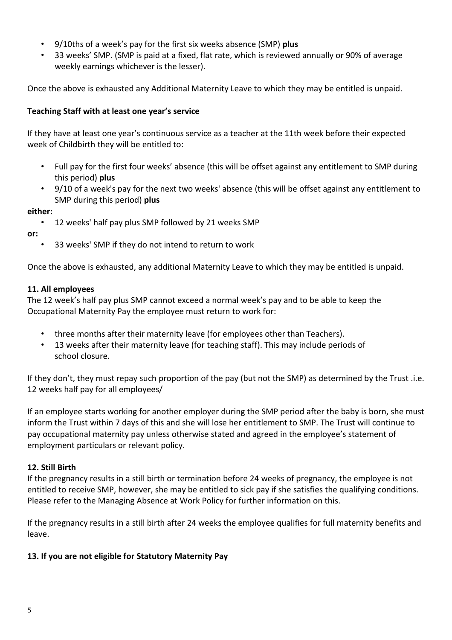- 9/10ths of a week's pay for the first six weeks absence (SMP) **plus**
- 33 weeks' SMP. (SMP is paid at a fixed, flat rate, which is reviewed annually or 90% of average weekly earnings whichever is the lesser).

Once the above is exhausted any Additional Maternity Leave to which they may be entitled is unpaid.

#### **Teaching Staff with at least one year's service**

If they have at least one year's continuous service as a teacher at the 11th week before their expected week of Childbirth they will be entitled to:

- Full pay for the first four weeks' absence (this will be offset against any entitlement to SMP during this period) **plus**
- 9/10 of a week's pay for the next two weeks' absence (this will be offset against any entitlement to SMP during this period) **plus**

#### **either:**

• 12 weeks' half pay plus SMP followed by 21 weeks SMP

**or:**

• 33 weeks' SMP if they do not intend to return to work

Once the above is exhausted, any additional Maternity Leave to which they may be entitled is unpaid.

#### **11. All employees**

The 12 week's half pay plus SMP cannot exceed a normal week's pay and to be able to keep the Occupational Maternity Pay the employee must return to work for:

- three months after their maternity leave (for employees other than Teachers).
- 13 weeks after their maternity leave (for teaching staff). This may include periods of school closure.

If they don't, they must repay such proportion of the pay (but not the SMP) as determined by the Trust .i.e. 12 weeks half pay for all employees/

If an employee starts working for another employer during the SMP period after the baby is born, she must inform the Trust within 7 days of this and she will lose her entitlement to SMP. The Trust will continue to pay occupational maternity pay unless otherwise stated and agreed in the employee's statement of employment particulars or relevant policy.

#### **12. Still Birth**

If the pregnancy results in a still birth or termination before 24 weeks of pregnancy, the employee is not entitled to receive SMP, however, she may be entitled to sick pay if she satisfies the qualifying conditions. Please refer to the Managing Absence at Work Policy for further information on this.

If the pregnancy results in a still birth after 24 weeks the employee qualifies for full maternity benefits and leave.

## **13. If you are not eligible for Statutory Maternity Pay**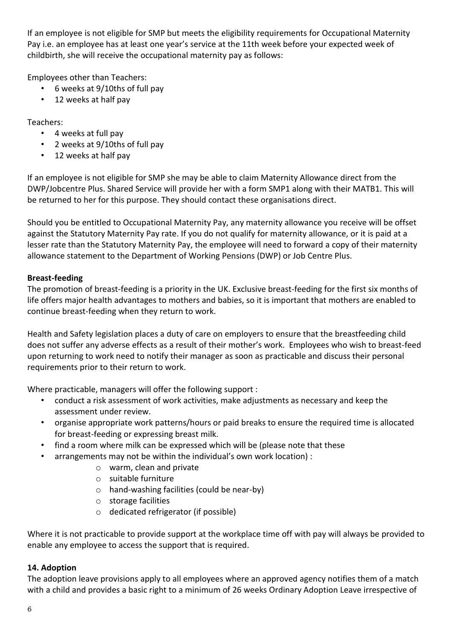If an employee is not eligible for SMP but meets the eligibility requirements for Occupational Maternity Pay i.e. an employee has at least one year's service at the 11th week before your expected week of childbirth, she will receive the occupational maternity pay as follows:

Employees other than Teachers:

- 6 weeks at 9/10ths of full pay
- 12 weeks at half pay

Teachers:

- 4 weeks at full pay
- 2 weeks at 9/10ths of full pay
- 12 weeks at half pay

If an employee is not eligible for SMP she may be able to claim Maternity Allowance direct from the DWP/Jobcentre Plus. Shared Service will provide her with a form SMP1 along with their MATB1. This will be returned to her for this purpose. They should contact these organisations direct.

Should you be entitled to Occupational Maternity Pay, any maternity allowance you receive will be offset against the Statutory Maternity Pay rate. If you do not qualify for maternity allowance, or it is paid at a lesser rate than the Statutory Maternity Pay, the employee will need to forward a copy of their maternity allowance statement to the Department of Working Pensions (DWP) or Job Centre Plus.

# **Breast-feeding**

The promotion of breast-feeding is a priority in the UK. Exclusive breast-feeding for the first six months of life offers major health advantages to mothers and babies, so it is important that mothers are enabled to continue breast-feeding when they return to work.

Health and Safety legislation places a duty of care on employers to ensure that the breastfeeding child does not suffer any adverse effects as a result of their mother's work. Employees who wish to breast-feed upon returning to work need to notify their manager as soon as practicable and discuss their personal requirements prior to their return to work.

Where practicable, managers will offer the following support :

- conduct a risk assessment of work activities, make adjustments as necessary and keep the assessment under review.
- organise appropriate work patterns/hours or paid breaks to ensure the required time is allocated for breast-feeding or expressing breast milk.
- find a room where milk can be expressed which will be (please note that these
- arrangements may not be within the individual's own work location) :
	- o warm, clean and private
	- o suitable furniture
	- o hand-washing facilities (could be near-by)
	- o storage facilities
	- o dedicated refrigerator (if possible)

Where it is not practicable to provide support at the workplace time off with pay will always be provided to enable any employee to access the support that is required.

# **14. Adoption**

The adoption leave provisions apply to all employees where an approved agency notifies them of a match with a child and provides a basic right to a minimum of 26 weeks Ordinary Adoption Leave irrespective of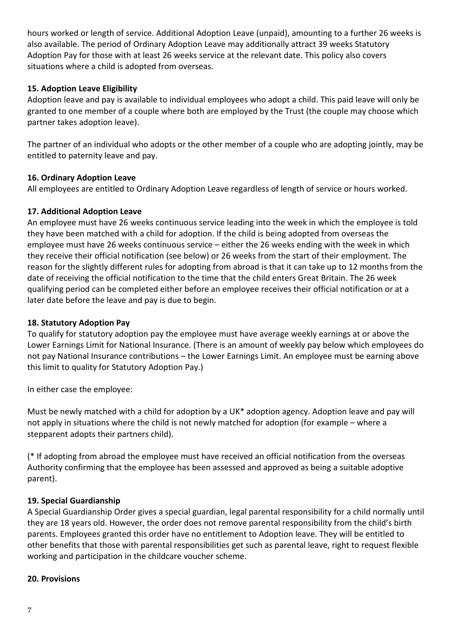hours worked or length of service. Additional Adoption Leave (unpaid), amounting to a further 26 weeks is also available. The period of Ordinary Adoption Leave may additionally attract 39 weeks Statutory Adoption Pay for those with at least 26 weeks service at the relevant date. This policy also covers situations where a child is adopted from overseas.

## **15. Adoption Leave Eligibility**

Adoption leave and pay is available to individual employees who adopt a child. This paid leave will only be granted to one member of a couple where both are employed by the Trust (the couple may choose which partner takes adoption leave).

The partner of an individual who adopts or the other member of a couple who are adopting jointly, may be entitled to paternity leave and pay.

## **16. Ordinary Adoption Leave**

All employees are entitled to Ordinary Adoption Leave regardless of length of service or hours worked.

# **17. Additional Adoption Leave**

An employee must have 26 weeks continuous service leading into the week in which the employee is told they have been matched with a child for adoption. If the child is being adopted from overseas the employee must have 26 weeks continuous service – either the 26 weeks ending with the week in which they receive their official notification (see below) or 26 weeks from the start of their employment. The reason for the slightly different rules for adopting from abroad is that it can take up to 12 months from the date of receiving the official notification to the time that the child enters Great Britain. The 26 week qualifying period can be completed either before an employee receives their official notification or at a later date before the leave and pay is due to begin.

## **18. Statutory Adoption Pay**

To qualify for statutory adoption pay the employee must have average weekly earnings at or above the Lower Earnings Limit for National Insurance. (There is an amount of weekly pay below which employees do not pay National Insurance contributions – the Lower Earnings Limit. An employee must be earning above this limit to quality for Statutory Adoption Pay.)

In either case the employee:

Must be newly matched with a child for adoption by a UK\* adoption agency. Adoption leave and pay will not apply in situations where the child is not newly matched for adoption (for example – where a stepparent adopts their partners child).

(\* If adopting from abroad the employee must have received an official notification from the overseas Authority confirming that the employee has been assessed and approved as being a suitable adoptive parent).

# **19. Special Guardianship**

A Special Guardianship Order gives a special guardian, legal parental responsibility for a child normally until they are 18 years old. However, the order does not remove parental responsibility from the child's birth parents. Employees granted this order have no entitlement to Adoption leave. They will be entitled to other benefits that those with parental responsibilities get such as parental leave, right to request flexible working and participation in the childcare voucher scheme.

## **20. Provisions**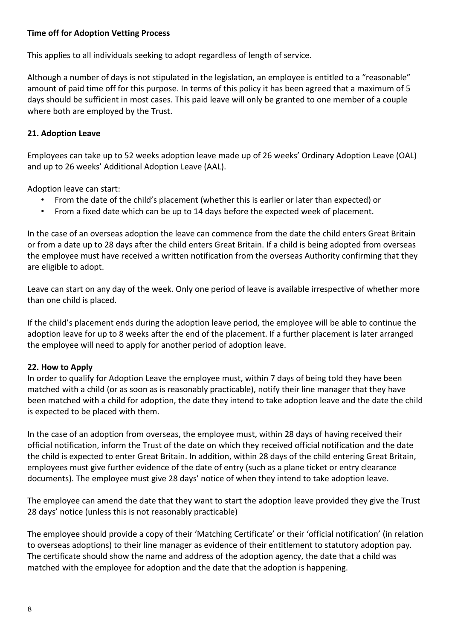## **Time off for Adoption Vetting Process**

This applies to all individuals seeking to adopt regardless of length of service.

Although a number of days is not stipulated in the legislation, an employee is entitled to a "reasonable" amount of paid time off for this purpose. In terms of this policy it has been agreed that a maximum of 5 days should be sufficient in most cases. This paid leave will only be granted to one member of a couple where both are employed by the Trust.

#### **21. Adoption Leave**

Employees can take up to 52 weeks adoption leave made up of 26 weeks' Ordinary Adoption Leave (OAL) and up to 26 weeks' Additional Adoption Leave (AAL).

Adoption leave can start:

- From the date of the child's placement (whether this is earlier or later than expected) or
- From a fixed date which can be up to 14 days before the expected week of placement.

In the case of an overseas adoption the leave can commence from the date the child enters Great Britain or from a date up to 28 days after the child enters Great Britain. If a child is being adopted from overseas the employee must have received a written notification from the overseas Authority confirming that they are eligible to adopt.

Leave can start on any day of the week. Only one period of leave is available irrespective of whether more than one child is placed.

If the child's placement ends during the adoption leave period, the employee will be able to continue the adoption leave for up to 8 weeks after the end of the placement. If a further placement is later arranged the employee will need to apply for another period of adoption leave.

#### **22. How to Apply**

In order to qualify for Adoption Leave the employee must, within 7 days of being told they have been matched with a child (or as soon as is reasonably practicable), notify their line manager that they have been matched with a child for adoption, the date they intend to take adoption leave and the date the child is expected to be placed with them.

In the case of an adoption from overseas, the employee must, within 28 days of having received their official notification, inform the Trust of the date on which they received official notification and the date the child is expected to enter Great Britain. In addition, within 28 days of the child entering Great Britain, employees must give further evidence of the date of entry (such as a plane ticket or entry clearance documents). The employee must give 28 days' notice of when they intend to take adoption leave.

The employee can amend the date that they want to start the adoption leave provided they give the Trust 28 days' notice (unless this is not reasonably practicable)

The employee should provide a copy of their 'Matching Certificate' or their 'official notification' (in relation to overseas adoptions) to their line manager as evidence of their entitlement to statutory adoption pay. The certificate should show the name and address of the adoption agency, the date that a child was matched with the employee for adoption and the date that the adoption is happening.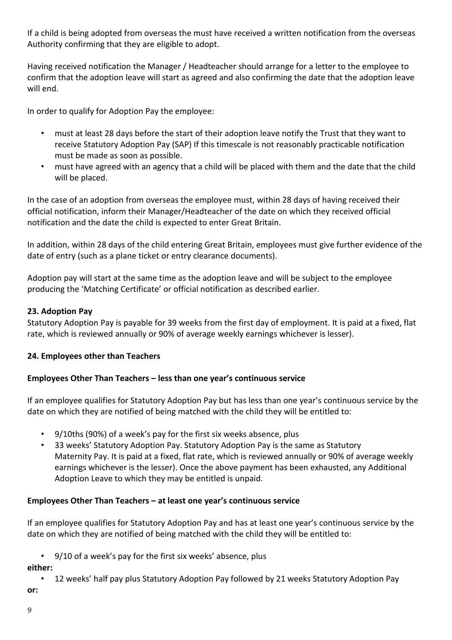If a child is being adopted from overseas the must have received a written notification from the overseas Authority confirming that they are eligible to adopt.

Having received notification the Manager / Headteacher should arrange for a letter to the employee to confirm that the adoption leave will start as agreed and also confirming the date that the adoption leave will end.

In order to qualify for Adoption Pay the employee:

- must at least 28 days before the start of their adoption leave notify the Trust that they want to receive Statutory Adoption Pay (SAP) If this timescale is not reasonably practicable notification must be made as soon as possible.
- must have agreed with an agency that a child will be placed with them and the date that the child will be placed.

In the case of an adoption from overseas the employee must, within 28 days of having received their official notification, inform their Manager/Headteacher of the date on which they received official notification and the date the child is expected to enter Great Britain.

In addition, within 28 days of the child entering Great Britain, employees must give further evidence of the date of entry (such as a plane ticket or entry clearance documents).

Adoption pay will start at the same time as the adoption leave and will be subject to the employee producing the 'Matching Certificate' or official notification as described earlier.

## **23. Adoption Pay**

Statutory Adoption Pay is payable for 39 weeks from the first day of employment. It is paid at a fixed, flat rate, which is reviewed annually or 90% of average weekly earnings whichever is lesser).

## **24. Employees other than Teachers**

## **Employees Other Than Teachers – less than one year's continuous service**

If an employee qualifies for Statutory Adoption Pay but has less than one year's continuous service by the date on which they are notified of being matched with the child they will be entitled to:

- 9/10ths (90%) of a week's pay for the first six weeks absence, plus
- 33 weeks' Statutory Adoption Pay. Statutory Adoption Pay is the same as Statutory Maternity Pay. It is paid at a fixed, flat rate, which is reviewed annually or 90% of average weekly earnings whichever is the lesser). Once the above payment has been exhausted, any Additional Adoption Leave to which they may be entitled is unpaid.

## **Employees Other Than Teachers – at least one year's continuous service**

If an employee qualifies for Statutory Adoption Pay and has at least one year's continuous service by the date on which they are notified of being matched with the child they will be entitled to:

• 9/10 of a week's pay for the first six weeks' absence, plus

**either:**

• 12 weeks' half pay plus Statutory Adoption Pay followed by 21 weeks Statutory Adoption Pay **or:**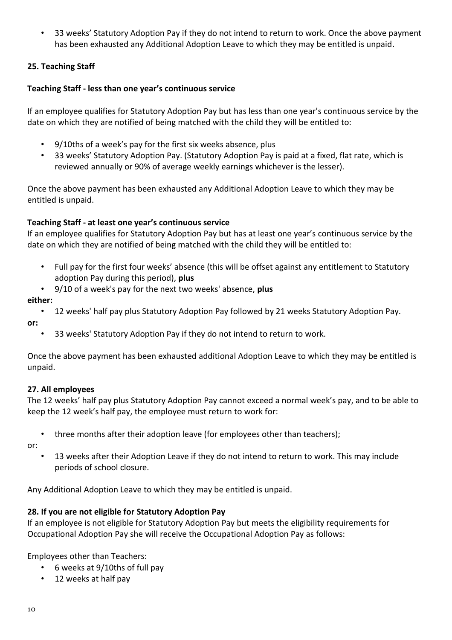• 33 weeks' Statutory Adoption Pay if they do not intend to return to work. Once the above payment has been exhausted any Additional Adoption Leave to which they may be entitled is unpaid.

# **25. Teaching Staff**

## **Teaching Staff - less than one year's continuous service**

If an employee qualifies for Statutory Adoption Pay but has less than one year's continuous service by the date on which they are notified of being matched with the child they will be entitled to:

- 9/10ths of a week's pay for the first six weeks absence, plus
- 33 weeks' Statutory Adoption Pay. (Statutory Adoption Pay is paid at a fixed, flat rate, which is reviewed annually or 90% of average weekly earnings whichever is the lesser).

Once the above payment has been exhausted any Additional Adoption Leave to which they may be entitled is unpaid.

# **Teaching Staff - at least one year's continuous service**

If an employee qualifies for Statutory Adoption Pay but has at least one year's continuous service by the date on which they are notified of being matched with the child they will be entitled to:

- Full pay for the first four weeks' absence (this will be offset against any entitlement to Statutory adoption Pay during this period), **plus**
- 9/10 of a week's pay for the next two weeks' absence, **plus**

## **either:**

- 12 weeks' half pay plus Statutory Adoption Pay followed by 21 weeks Statutory Adoption Pay. **or:**
	- 33 weeks' Statutory Adoption Pay if they do not intend to return to work.

Once the above payment has been exhausted additional Adoption Leave to which they may be entitled is unpaid.

## **27. All employees**

The 12 weeks' half pay plus Statutory Adoption Pay cannot exceed a normal week's pay, and to be able to keep the 12 week's half pay, the employee must return to work for:

• three months after their adoption leave (for employees other than teachers);

or:

• 13 weeks after their Adoption Leave if they do not intend to return to work. This may include periods of school closure.

Any Additional Adoption Leave to which they may be entitled is unpaid.

## **28. If you are not eligible for Statutory Adoption Pay**

If an employee is not eligible for Statutory Adoption Pay but meets the eligibility requirements for Occupational Adoption Pay she will receive the Occupational Adoption Pay as follows:

Employees other than Teachers:

- 6 weeks at 9/10ths of full pay
- 12 weeks at half pay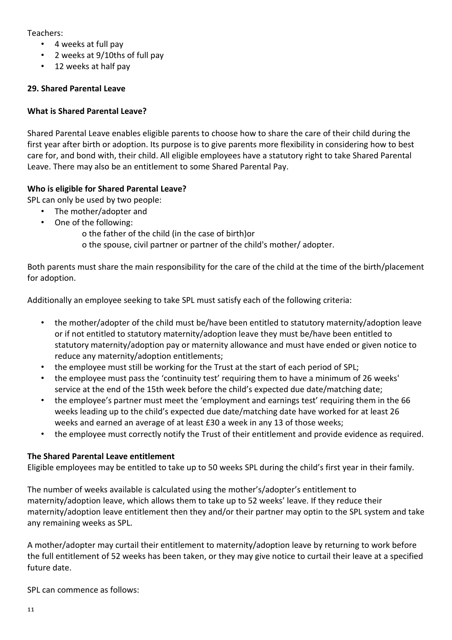Teachers:

- 4 weeks at full pay
- 2 weeks at 9/10ths of full pay
- 12 weeks at half pay

# **29. Shared Parental Leave**

# **What is Shared Parental Leave?**

Shared Parental Leave enables eligible parents to choose how to share the care of their child during the first year after birth or adoption. Its purpose is to give parents more flexibility in considering how to best care for, and bond with, their child. All eligible employees have a statutory right to take Shared Parental Leave. There may also be an entitlement to some Shared Parental Pay.

# **Who is eligible for Shared Parental Leave?**

SPL can only be used by two people:

- The mother/adopter and
- One of the following:
	- o the father of the child (in the case of birth)or
	- o the spouse, civil partner or partner of the child's mother/ adopter.

Both parents must share the main responsibility for the care of the child at the time of the birth/placement for adoption.

Additionally an employee seeking to take SPL must satisfy each of the following criteria:

- the mother/adopter of the child must be/have been entitled to statutory maternity/adoption leave or if not entitled to statutory maternity/adoption leave they must be/have been entitled to statutory maternity/adoption pay or maternity allowance and must have ended or given notice to reduce any maternity/adoption entitlements;
- the employee must still be working for the Trust at the start of each period of SPL;
- the employee must pass the 'continuity test' requiring them to have a minimum of 26 weeks' service at the end of the 15th week before the child's expected due date/matching date;
- the employee's partner must meet the 'employment and earnings test' requiring them in the 66 weeks leading up to the child's expected due date/matching date have worked for at least 26 weeks and earned an average of at least £30 a week in any 13 of those weeks;
- the employee must correctly notify the Trust of their entitlement and provide evidence as required.

## **The Shared Parental Leave entitlement**

Eligible employees may be entitled to take up to 50 weeks SPL during the child's first year in their family.

The number of weeks available is calculated using the mother's/adopter's entitlement to maternity/adoption leave, which allows them to take up to 52 weeks' leave. If they reduce their maternity/adoption leave entitlement then they and/or their partner may optin to the SPL system and take any remaining weeks as SPL.

A mother/adopter may curtail their entitlement to maternity/adoption leave by returning to work before the full entitlement of 52 weeks has been taken, or they may give notice to curtail their leave at a specified future date.

SPL can commence as follows: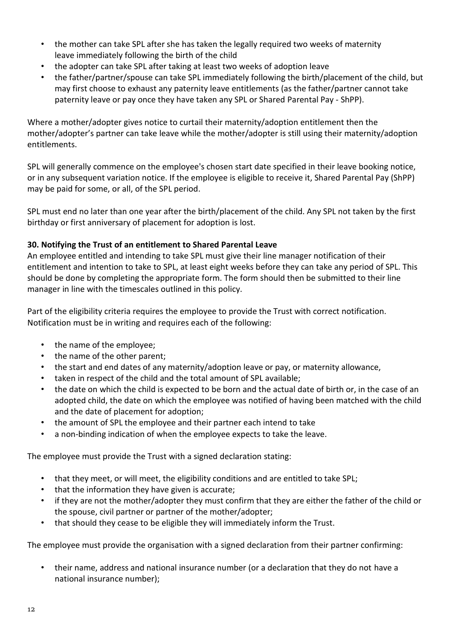- the mother can take SPL after she has taken the legally required two weeks of maternity leave immediately following the birth of the child
- the adopter can take SPL after taking at least two weeks of adoption leave
- the father/partner/spouse can take SPL immediately following the birth/placement of the child, but may first choose to exhaust any paternity leave entitlements (as the father/partner cannot take paternity leave or pay once they have taken any SPL or Shared Parental Pay - ShPP).

Where a mother/adopter gives notice to curtail their maternity/adoption entitlement then the mother/adopter's partner can take leave while the mother/adopter is still using their maternity/adoption entitlements.

SPL will generally commence on the employee's chosen start date specified in their leave booking notice, or in any subsequent variation notice. If the employee is eligible to receive it, Shared Parental Pay (ShPP) may be paid for some, or all, of the SPL period.

SPL must end no later than one year after the birth/placement of the child. Any SPL not taken by the first birthday or first anniversary of placement for adoption is lost.

# **30. Notifying the Trust of an entitlement to Shared Parental Leave**

An employee entitled and intending to take SPL must give their line manager notification of their entitlement and intention to take to SPL, at least eight weeks before they can take any period of SPL. This should be done by completing the appropriate form. The form should then be submitted to their line manager in line with the timescales outlined in this policy.

Part of the eligibility criteria requires the employee to provide the Trust with correct notification. Notification must be in writing and requires each of the following:

- the name of the employee;
- the name of the other parent;
- the start and end dates of any maternity/adoption leave or pay, or maternity allowance,
- taken in respect of the child and the total amount of SPL available;
- the date on which the child is expected to be born and the actual date of birth or, in the case of an adopted child, the date on which the employee was notified of having been matched with the child and the date of placement for adoption;
- the amount of SPL the employee and their partner each intend to take
- a non-binding indication of when the employee expects to take the leave.

The employee must provide the Trust with a signed declaration stating:

- that they meet, or will meet, the eligibility conditions and are entitled to take SPL;
- that the information they have given is accurate;
- if they are not the mother/adopter they must confirm that they are either the father of the child or the spouse, civil partner or partner of the mother/adopter;
- that should they cease to be eligible they will immediately inform the Trust.

The employee must provide the organisation with a signed declaration from their partner confirming:

• their name, address and national insurance number (or a declaration that they do not have a national insurance number);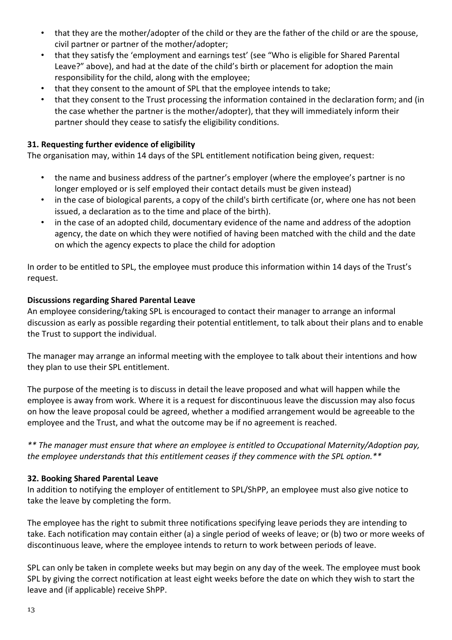- that they are the mother/adopter of the child or they are the father of the child or are the spouse, civil partner or partner of the mother/adopter;
- that they satisfy the 'employment and earnings test' (see "Who is eligible for Shared Parental Leave?" above), and had at the date of the child's birth or placement for adoption the main responsibility for the child, along with the employee;
- that they consent to the amount of SPL that the employee intends to take;
- that they consent to the Trust processing the information contained in the declaration form; and (in the case whether the partner is the mother/adopter), that they will immediately inform their partner should they cease to satisfy the eligibility conditions.

## **31. Requesting further evidence of eligibility**

The organisation may, within 14 days of the SPL entitlement notification being given, request:

- the name and business address of the partner's employer (where the employee's partner is no longer employed or is self employed their contact details must be given instead)
- in the case of biological parents, a copy of the child's birth certificate (or, where one has not been issued, a declaration as to the time and place of the birth).
- in the case of an adopted child, documentary evidence of the name and address of the adoption agency, the date on which they were notified of having been matched with the child and the date on which the agency expects to place the child for adoption

In order to be entitled to SPL, the employee must produce this information within 14 days of the Trust's request.

#### **Discussions regarding Shared Parental Leave**

An employee considering/taking SPL is encouraged to contact their manager to arrange an informal discussion as early as possible regarding their potential entitlement, to talk about their plans and to enable the Trust to support the individual.

The manager may arrange an informal meeting with the employee to talk about their intentions and how they plan to use their SPL entitlement.

The purpose of the meeting is to discuss in detail the leave proposed and what will happen while the employee is away from work. Where it is a request for discontinuous leave the discussion may also focus on how the leave proposal could be agreed, whether a modified arrangement would be agreeable to the employee and the Trust, and what the outcome may be if no agreement is reached.

*\*\* The manager must ensure that where an employee is entitled to Occupational Maternity/Adoption pay, the employee understands that this entitlement ceases if they commence with the SPL option.\*\**

#### **32. Booking Shared Parental Leave**

In addition to notifying the employer of entitlement to SPL/ShPP, an employee must also give notice to take the leave by completing the form.

The employee has the right to submit three notifications specifying leave periods they are intending to take. Each notification may contain either (a) a single period of weeks of leave; or (b) two or more weeks of discontinuous leave, where the employee intends to return to work between periods of leave.

SPL can only be taken in complete weeks but may begin on any day of the week. The employee must book SPL by giving the correct notification at least eight weeks before the date on which they wish to start the leave and (if applicable) receive ShPP.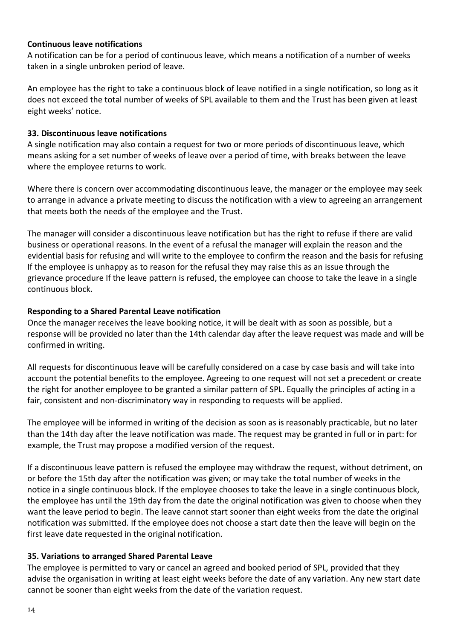#### **Continuous leave notifications**

A notification can be for a period of continuous leave, which means a notification of a number of weeks taken in a single unbroken period of leave.

An employee has the right to take a continuous block of leave notified in a single notification, so long as it does not exceed the total number of weeks of SPL available to them and the Trust has been given at least eight weeks' notice.

#### **33. Discontinuous leave notifications**

A single notification may also contain a request for two or more periods of discontinuous leave, which means asking for a set number of weeks of leave over a period of time, with breaks between the leave where the employee returns to work.

Where there is concern over accommodating discontinuous leave, the manager or the employee may seek to arrange in advance a private meeting to discuss the notification with a view to agreeing an arrangement that meets both the needs of the employee and the Trust.

The manager will consider a discontinuous leave notification but has the right to refuse if there are valid business or operational reasons. In the event of a refusal the manager will explain the reason and the evidential basis for refusing and will write to the employee to confirm the reason and the basis for refusing If the employee is unhappy as to reason for the refusal they may raise this as an issue through the grievance procedure If the leave pattern is refused, the employee can choose to take the leave in a single continuous block.

## **Responding to a Shared Parental Leave notification**

Once the manager receives the leave booking notice, it will be dealt with as soon as possible, but a response will be provided no later than the 14th calendar day after the leave request was made and will be confirmed in writing.

All requests for discontinuous leave will be carefully considered on a case by case basis and will take into account the potential benefits to the employee. Agreeing to one request will not set a precedent or create the right for another employee to be granted a similar pattern of SPL. Equally the principles of acting in a fair, consistent and non-discriminatory way in responding to requests will be applied.

The employee will be informed in writing of the decision as soon as is reasonably practicable, but no later than the 14th day after the leave notification was made. The request may be granted in full or in part: for example, the Trust may propose a modified version of the request.

If a discontinuous leave pattern is refused the employee may withdraw the request, without detriment, on or before the 15th day after the notification was given; or may take the total number of weeks in the notice in a single continuous block. If the employee chooses to take the leave in a single continuous block, the employee has until the 19th day from the date the original notification was given to choose when they want the leave period to begin. The leave cannot start sooner than eight weeks from the date the original notification was submitted. If the employee does not choose a start date then the leave will begin on the first leave date requested in the original notification.

## **35. Variations to arranged Shared Parental Leave**

The employee is permitted to vary or cancel an agreed and booked period of SPL, provided that they advise the organisation in writing at least eight weeks before the date of any variation. Any new start date cannot be sooner than eight weeks from the date of the variation request.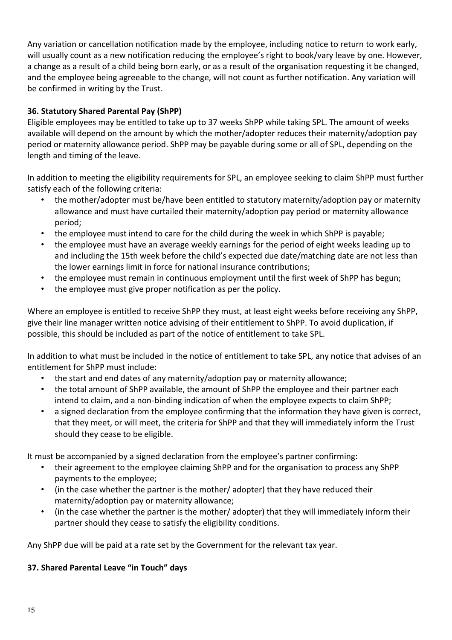Any variation or cancellation notification made by the employee, including notice to return to work early, will usually count as a new notification reducing the employee's right to book/vary leave by one. However, a change as a result of a child being born early, or as a result of the organisation requesting it be changed, and the employee being agreeable to the change, will not count as further notification. Any variation will be confirmed in writing by the Trust.

# **36. Statutory Shared Parental Pay (ShPP)**

Eligible employees may be entitled to take up to 37 weeks ShPP while taking SPL. The amount of weeks available will depend on the amount by which the mother/adopter reduces their maternity/adoption pay period or maternity allowance period. ShPP may be payable during some or all of SPL, depending on the length and timing of the leave.

In addition to meeting the eligibility requirements for SPL, an employee seeking to claim ShPP must further satisfy each of the following criteria:

- the mother/adopter must be/have been entitled to statutory maternity/adoption pay or maternity allowance and must have curtailed their maternity/adoption pay period or maternity allowance period;
- the employee must intend to care for the child during the week in which ShPP is payable;
- the employee must have an average weekly earnings for the period of eight weeks leading up to and including the 15th week before the child's expected due date/matching date are not less than the lower earnings limit in force for national insurance contributions;
- the employee must remain in continuous employment until the first week of ShPP has begun;
- the employee must give proper notification as per the policy.

Where an employee is entitled to receive ShPP they must, at least eight weeks before receiving any ShPP, give their line manager written notice advising of their entitlement to ShPP. To avoid duplication, if possible, this should be included as part of the notice of entitlement to take SPL.

In addition to what must be included in the notice of entitlement to take SPL, any notice that advises of an entitlement for ShPP must include:

- the start and end dates of any maternity/adoption pay or maternity allowance;
- the total amount of ShPP available, the amount of ShPP the employee and their partner each intend to claim, and a non-binding indication of when the employee expects to claim ShPP;
- a signed declaration from the employee confirming that the information they have given is correct, that they meet, or will meet, the criteria for ShPP and that they will immediately inform the Trust should they cease to be eligible.

It must be accompanied by a signed declaration from the employee's partner confirming:

- their agreement to the employee claiming ShPP and for the organisation to process any ShPP payments to the employee;
- (in the case whether the partner is the mother/ adopter) that they have reduced their maternity/adoption pay or maternity allowance;
- (in the case whether the partner is the mother/ adopter) that they will immediately inform their partner should they cease to satisfy the eligibility conditions.

Any ShPP due will be paid at a rate set by the Government for the relevant tax year.

# **37. Shared Parental Leave "in Touch" days**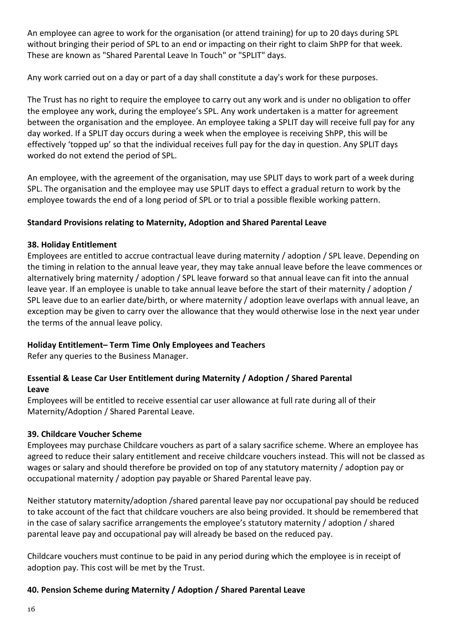An employee can agree to work for the organisation (or attend training) for up to 20 days during SPL without bringing their period of SPL to an end or impacting on their right to claim ShPP for that week. These are known as "Shared Parental Leave In Touch" or "SPLIT" days.

Any work carried out on a day or part of a day shall constitute a day's work for these purposes.

The Trust has no right to require the employee to carry out any work and is under no obligation to offer the employee any work, during the employee's SPL. Any work undertaken is a matter for agreement between the organisation and the employee. An employee taking a SPLIT day will receive full pay for any day worked. If a SPLIT day occurs during a week when the employee is receiving ShPP, this will be effectively 'topped up' so that the individual receives full pay for the day in question. Any SPLIT days worked do not extend the period of SPL.

An employee, with the agreement of the organisation, may use SPLIT days to work part of a week during SPL. The organisation and the employee may use SPLIT days to effect a gradual return to work by the employee towards the end of a long period of SPL or to trial a possible flexible working pattern.

## **Standard Provisions relating to Maternity, Adoption and Shared Parental Leave**

## **38. Holiday Entitlement**

Employees are entitled to accrue contractual leave during maternity / adoption / SPL leave. Depending on the timing in relation to the annual leave year, they may take annual leave before the leave commences or alternatively bring maternity / adoption / SPL leave forward so that annual leave can fit into the annual leave year. If an employee is unable to take annual leave before the start of their maternity / adoption / SPL leave due to an earlier date/birth, or where maternity / adoption leave overlaps with annual leave, an exception may be given to carry over the allowance that they would otherwise lose in the next year under the terms of the annual leave policy.

## **Holiday Entitlement– Term Time Only Employees and Teachers**

Refer any queries to the Business Manager.

# **Essential & Lease Car User Entitlement during Maternity / Adoption / Shared Parental Leave**

Employees will be entitled to receive essential car user allowance at full rate during all of their Maternity/Adoption / Shared Parental Leave.

## **39. Childcare Voucher Scheme**

Employees may purchase Childcare vouchers as part of a salary sacrifice scheme. Where an employee has agreed to reduce their salary entitlement and receive childcare vouchers instead. This will not be classed as wages or salary and should therefore be provided on top of any statutory maternity / adoption pay or occupational maternity / adoption pay payable or Shared Parental leave pay.

Neither statutory maternity/adoption /shared parental leave pay nor occupational pay should be reduced to take account of the fact that childcare vouchers are also being provided. It should be remembered that in the case of salary sacrifice arrangements the employee's statutory maternity / adoption / shared parental leave pay and occupational pay will already be based on the reduced pay.

Childcare vouchers must continue to be paid in any period during which the employee is in receipt of adoption pay. This cost will be met by the Trust.

## **40. Pension Scheme during Maternity / Adoption / Shared Parental Leave**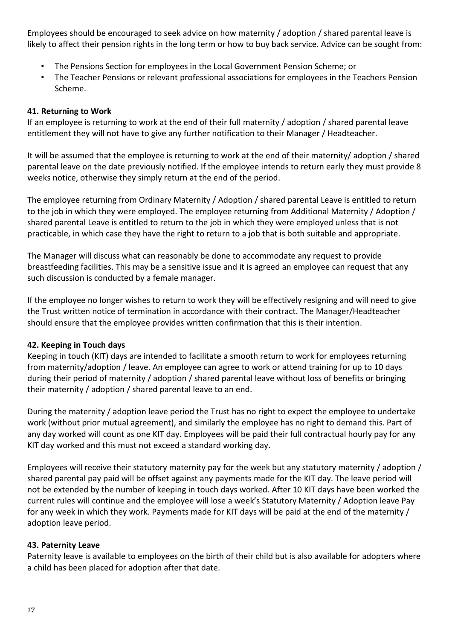Employees should be encouraged to seek advice on how maternity / adoption / shared parental leave is likely to affect their pension rights in the long term or how to buy back service. Advice can be sought from:

- The Pensions Section for employees in the Local Government Pension Scheme; or
- The Teacher Pensions or relevant professional associations for employees in the Teachers Pension Scheme.

#### **41. Returning to Work**

If an employee is returning to work at the end of their full maternity / adoption / shared parental leave entitlement they will not have to give any further notification to their Manager / Headteacher.

It will be assumed that the employee is returning to work at the end of their maternity/ adoption / shared parental leave on the date previously notified. If the employee intends to return early they must provide 8 weeks notice, otherwise they simply return at the end of the period.

The employee returning from Ordinary Maternity / Adoption / shared parental Leave is entitled to return to the job in which they were employed. The employee returning from Additional Maternity / Adoption / shared parental Leave is entitled to return to the job in which they were employed unless that is not practicable, in which case they have the right to return to a job that is both suitable and appropriate.

The Manager will discuss what can reasonably be done to accommodate any request to provide breastfeeding facilities. This may be a sensitive issue and it is agreed an employee can request that any such discussion is conducted by a female manager.

If the employee no longer wishes to return to work they will be effectively resigning and will need to give the Trust written notice of termination in accordance with their contract. The Manager/Headteacher should ensure that the employee provides written confirmation that this is their intention.

## **42. Keeping in Touch days**

Keeping in touch (KIT) days are intended to facilitate a smooth return to work for employees returning from maternity/adoption / leave. An employee can agree to work or attend training for up to 10 days during their period of maternity / adoption / shared parental leave without loss of benefits or bringing their maternity / adoption / shared parental leave to an end.

During the maternity / adoption leave period the Trust has no right to expect the employee to undertake work (without prior mutual agreement), and similarly the employee has no right to demand this. Part of any day worked will count as one KIT day. Employees will be paid their full contractual hourly pay for any KIT day worked and this must not exceed a standard working day.

Employees will receive their statutory maternity pay for the week but any statutory maternity / adoption / shared parental pay paid will be offset against any payments made for the KIT day. The leave period will not be extended by the number of keeping in touch days worked. After 10 KIT days have been worked the current rules will continue and the employee will lose a week's Statutory Maternity / Adoption leave Pay for any week in which they work. Payments made for KIT days will be paid at the end of the maternity / adoption leave period.

## **43. Paternity Leave**

Paternity leave is available to employees on the birth of their child but is also available for adopters where a child has been placed for adoption after that date.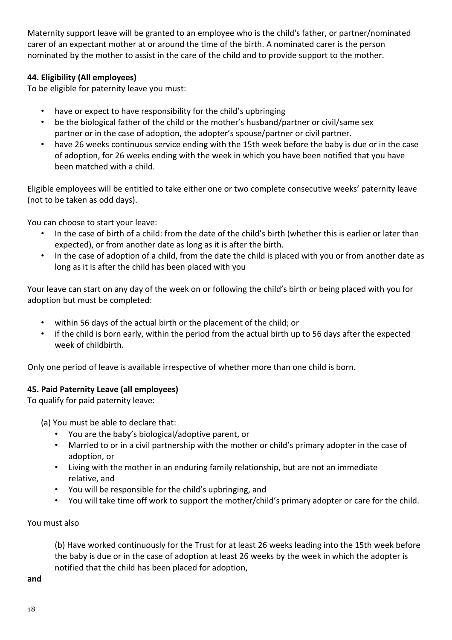Maternity support leave will be granted to an employee who is the child's father, or partner/nominated carer of an expectant mother at or around the time of the birth. A nominated carer is the person nominated by the mother to assist in the care of the child and to provide support to the mother.

# **44. Eligibility (All employees)**

To be eligible for paternity leave you must:

- have or expect to have responsibility for the child's upbringing
- be the biological father of the child or the mother's husband/partner or civil/same sex partner or in the case of adoption, the adopter's spouse/partner or civil partner.
- have 26 weeks continuous service ending with the 15th week before the baby is due or in the case of adoption, for 26 weeks ending with the week in which you have been notified that you have been matched with a child.

Eligible employees will be entitled to take either one or two complete consecutive weeks' paternity leave (not to be taken as odd days).

You can choose to start your leave:

- In the case of birth of a child: from the date of the child's birth (whether this is earlier or later than expected), or from another date as long as it is after the birth.
- In the case of adoption of a child, from the date the child is placed with you or from another date as long as it is after the child has been placed with you

Your leave can start on any day of the week on or following the child's birth or being placed with you for adoption but must be completed:

- within 56 days of the actual birth or the placement of the child; or
- if the child is born early, within the period from the actual birth up to 56 days after the expected week of childbirth.

Only one period of leave is available irrespective of whether more than one child is born.

# **45. Paid Paternity Leave (all employees)**

To qualify for paid paternity leave:

(a) You must be able to declare that:

- You are the baby's biological/adoptive parent, or
- Married to or in a civil partnership with the mother or child's primary adopter in the case of adoption, or
- Living with the mother in an enduring family relationship, but are not an immediate relative, and
- You will be responsible for the child's upbringing, and
- You will take time off work to support the mother/child's primary adopter or care for the child.

## You must also

(b) Have worked continuously for the Trust for at least 26 weeks leading into the 15th week before the baby is due or in the case of adoption at least 26 weeks by the week in which the adopter is notified that the child has been placed for adoption,

**and**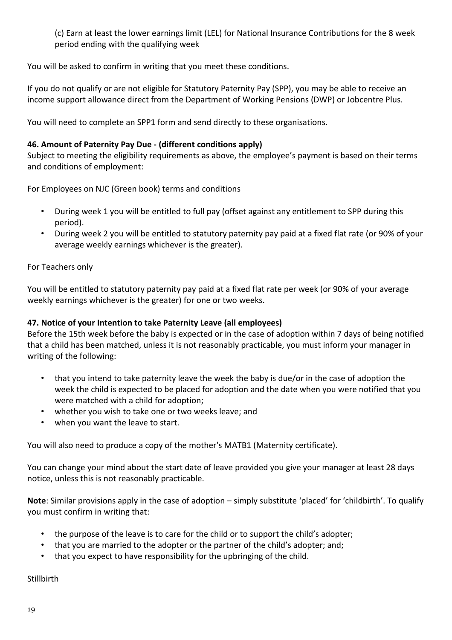(c) Earn at least the lower earnings limit (LEL) for National Insurance Contributions for the 8 week period ending with the qualifying week

You will be asked to confirm in writing that you meet these conditions.

If you do not qualify or are not eligible for Statutory Paternity Pay (SPP), you may be able to receive an income support allowance direct from the Department of Working Pensions (DWP) or Jobcentre Plus.

You will need to complete an SPP1 form and send directly to these organisations.

## **46. Amount of Paternity Pay Due - (different conditions apply)**

Subject to meeting the eligibility requirements as above, the employee's payment is based on their terms and conditions of employment:

For Employees on NJC (Green book) terms and conditions

- During week 1 you will be entitled to full pay (offset against any entitlement to SPP during this period).
- During week 2 you will be entitled to statutory paternity pay paid at a fixed flat rate (or 90% of your average weekly earnings whichever is the greater).

For Teachers only

You will be entitled to statutory paternity pay paid at a fixed flat rate per week (or 90% of your average weekly earnings whichever is the greater) for one or two weeks.

## **47. Notice of your Intention to take Paternity Leave (all employees)**

Before the 15th week before the baby is expected or in the case of adoption within 7 days of being notified that a child has been matched, unless it is not reasonably practicable, you must inform your manager in writing of the following:

- that you intend to take paternity leave the week the baby is due/or in the case of adoption the week the child is expected to be placed for adoption and the date when you were notified that you were matched with a child for adoption;
- whether you wish to take one or two weeks leave; and
- when you want the leave to start.

You will also need to produce a copy of the mother's MATB1 (Maternity certificate).

You can change your mind about the start date of leave provided you give your manager at least 28 days notice, unless this is not reasonably practicable.

**Note**: Similar provisions apply in the case of adoption – simply substitute 'placed' for 'childbirth'. To qualify you must confirm in writing that:

- the purpose of the leave is to care for the child or to support the child's adopter;
- that you are married to the adopter or the partner of the child's adopter; and;
- that you expect to have responsibility for the upbringing of the child.

**Stillbirth**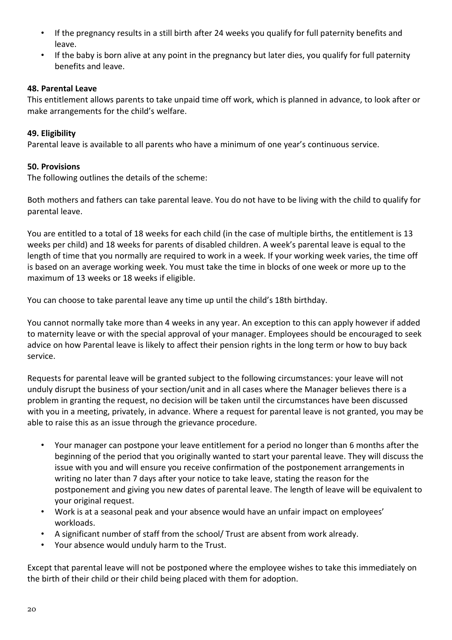- If the pregnancy results in a still birth after 24 weeks you qualify for full paternity benefits and leave.
- If the baby is born alive at any point in the pregnancy but later dies, you qualify for full paternity benefits and leave.

#### **48. Parental Leave**

This entitlement allows parents to take unpaid time off work, which is planned in advance, to look after or make arrangements for the child's welfare.

#### **49. Eligibility**

Parental leave is available to all parents who have a minimum of one year's continuous service.

#### **50. Provisions**

The following outlines the details of the scheme:

Both mothers and fathers can take parental leave. You do not have to be living with the child to qualify for parental leave.

You are entitled to a total of 18 weeks for each child (in the case of multiple births, the entitlement is 13 weeks per child) and 18 weeks for parents of disabled children. A week's parental leave is equal to the length of time that you normally are required to work in a week. If your working week varies, the time off is based on an average working week. You must take the time in blocks of one week or more up to the maximum of 13 weeks or 18 weeks if eligible.

You can choose to take parental leave any time up until the child's 18th birthday.

You cannot normally take more than 4 weeks in any year. An exception to this can apply however if added to maternity leave or with the special approval of your manager. Employees should be encouraged to seek advice on how Parental leave is likely to affect their pension rights in the long term or how to buy back service.

Requests for parental leave will be granted subject to the following circumstances: your leave will not unduly disrupt the business of your section/unit and in all cases where the Manager believes there is a problem in granting the request, no decision will be taken until the circumstances have been discussed with you in a meeting, privately, in advance. Where a request for parental leave is not granted, you may be able to raise this as an issue through the grievance procedure.

- Your manager can postpone your leave entitlement for a period no longer than 6 months after the beginning of the period that you originally wanted to start your parental leave. They will discuss the issue with you and will ensure you receive confirmation of the postponement arrangements in writing no later than 7 days after your notice to take leave, stating the reason for the postponement and giving you new dates of parental leave. The length of leave will be equivalent to your original request.
- Work is at a seasonal peak and your absence would have an unfair impact on employees' workloads.
- A significant number of staff from the school/ Trust are absent from work already.
- Your absence would unduly harm to the Trust.

Except that parental leave will not be postponed where the employee wishes to take this immediately on the birth of their child or their child being placed with them for adoption.